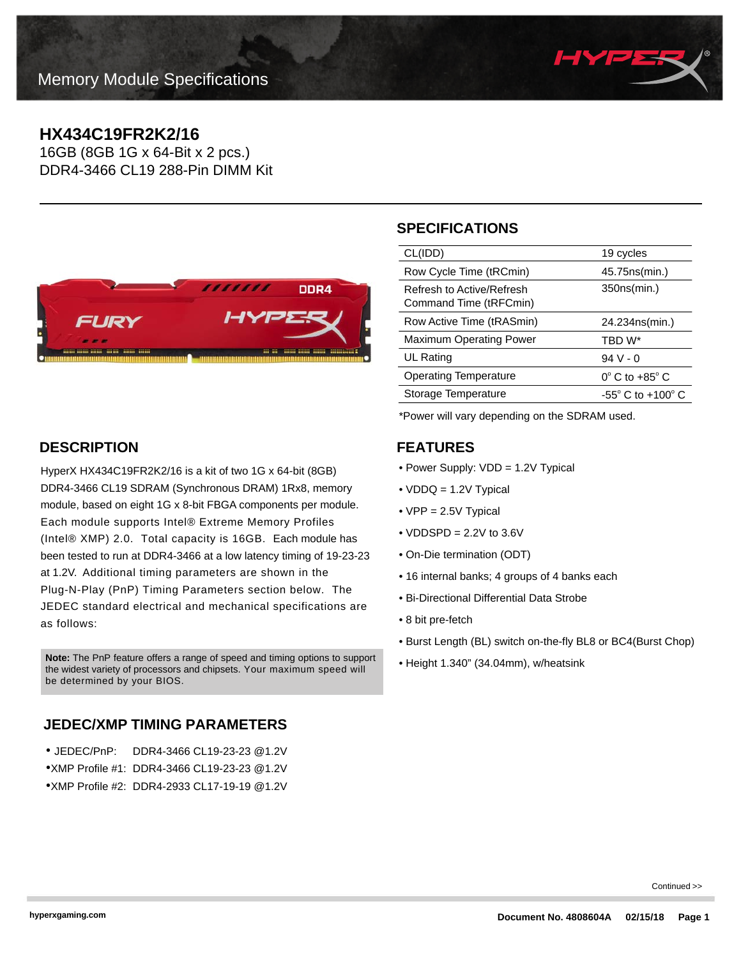

# **HX434C19FR2K2/16**

16GB (8GB 1G x 64-Bit x 2 pcs.) DDR4-3466 CL19 288-Pin DIMM Kit



# **DESCRIPTION**

HyperX HX434C19FR2K2/16 is a kit of two 1G x 64-bit (8GB) DDR4-3466 CL19 SDRAM (Synchronous DRAM) 1Rx8, memory module, based on eight 1G x 8-bit FBGA components per module. Each module supports Intel® Extreme Memory Profiles (Intel® XMP) 2.0. Total capacity is 16GB. Each module has been tested to run at DDR4-3466 at a low latency timing of 19-23-23 at 1.2V. Additional timing parameters are shown in the Plug-N-Play (PnP) Timing Parameters section below. The JEDEC standard electrical and mechanical specifications are as follows:

• Height 1.340" (34.04mm), w/heatsink **Note:** The PnP feature offers a range of speed and timing options to support the widest variety of processors and chipsets. Your maximum speed will be determined by your BIOS.

# **JEDEC/XMP TIMING PARAMETERS**

| ● JEDEC/PnP:  DDR4-3466 CL19-23-23 @1.2V    |
|---------------------------------------------|
| ●XMP Profile #1: DDR4-3466 CL19-23-23 @1.2V |
| ●XMP Profile #2: DDR4-2933 CL17-19-19 @1.2V |

# **SPECIFICATIONS**

| CL(IDD)                                             | 19 cycles                         |
|-----------------------------------------------------|-----------------------------------|
| Row Cycle Time (tRCmin)                             | 45.75ns(min.)                     |
| Refresh to Active/Refresh<br>Command Time (tRFCmin) | 350ns(min.)                       |
| Row Active Time (tRASmin)                           | 24.234ns(min.)                    |
| <b>Maximum Operating Power</b>                      | TBD W*                            |
| UL Rating                                           | $94V - 0$                         |
| <b>Operating Temperature</b>                        | $0^{\circ}$ C to +85 $^{\circ}$ C |
| Storage Temperature                                 | $-55^\circ$ C to $+100^\circ$ C   |
|                                                     |                                   |

\*Power will vary depending on the SDRAM used.

### **FEATURES**

- Power Supply: VDD = 1.2V Typical
- VDDQ = 1.2V Typical
- VPP = 2.5V Typical
- $\bullet$  VDDSPD = 2.2V to 3.6V
- On-Die termination (ODT)
- 16 internal banks; 4 groups of 4 banks each
- Bi-Directional Differential Data Strobe
- 8 bit pre-fetch
- Burst Length (BL) switch on-the-fly BL8 or BC4(Burst Chop)
- 

Continued >>